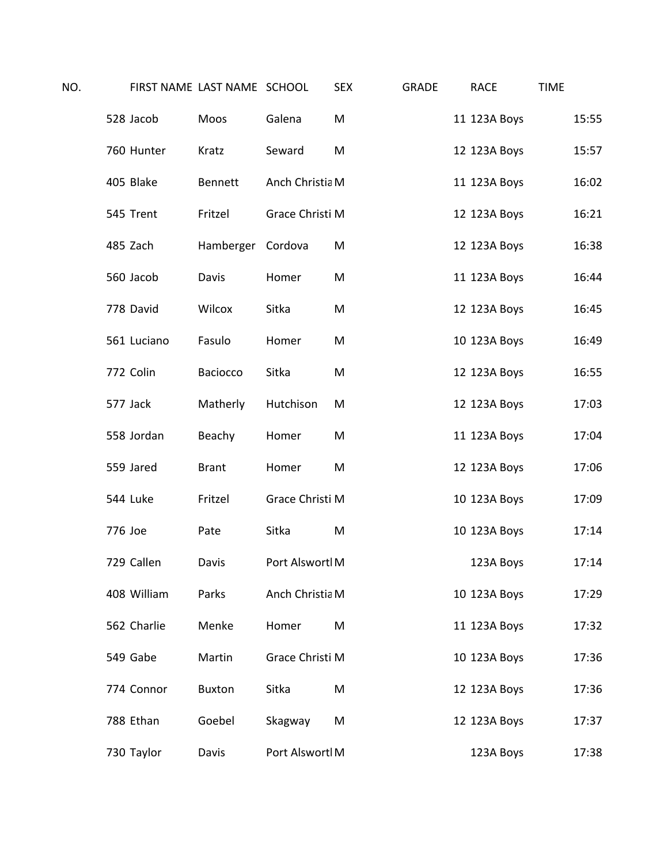| NO. |          |             | FIRST NAME LAST NAME SCHOOL |                 | <b>SEX</b> | <b>GRADE</b> | <b>RACE</b>  | <b>TIME</b> |       |
|-----|----------|-------------|-----------------------------|-----------------|------------|--------------|--------------|-------------|-------|
|     |          | 528 Jacob   | Moos                        | Galena          | M          |              | 11 123A Boys |             | 15:55 |
|     |          | 760 Hunter  | Kratz                       | Seward          | M          |              | 12 123A Boys |             | 15:57 |
|     |          | 405 Blake   | Bennett                     | Anch Christia M |            |              | 11 123A Boys |             | 16:02 |
|     |          | 545 Trent   | Fritzel                     | Grace Christi M |            |              | 12 123A Boys |             | 16:21 |
|     |          | 485 Zach    | Hamberger Cordova           |                 | M          |              | 12 123A Boys |             | 16:38 |
|     |          | 560 Jacob   | Davis                       | Homer           | M          |              | 11 123A Boys |             | 16:44 |
|     |          | 778 David   | Wilcox                      | Sitka           | M          |              | 12 123A Boys |             | 16:45 |
|     |          | 561 Luciano | Fasulo                      | Homer           | M          |              | 10 123A Boys |             | 16:49 |
|     |          | 772 Colin   | Baciocco                    | Sitka           | M          |              | 12 123A Boys |             | 16:55 |
|     | 577 Jack |             | Matherly                    | Hutchison       | M          |              | 12 123A Boys |             | 17:03 |
|     |          | 558 Jordan  | Beachy                      | Homer           | M          |              | 11 123A Boys |             | 17:04 |
|     |          | 559 Jared   | <b>Brant</b>                | Homer           | M          |              | 12 123A Boys |             | 17:06 |
|     |          | 544 Luke    | Fritzel                     | Grace Christi M |            |              | 10 123A Boys |             | 17:09 |
|     | 776 Joe  |             | Pate                        | Sitka           | M          |              | 10 123A Boys |             | 17:14 |
|     |          | 729 Callen  | Davis                       | Port Alswortl M |            |              | 123A Boys    |             | 17:14 |
|     |          | 408 William | Parks                       | Anch Christia M |            |              | 10 123A Boys |             | 17:29 |
|     |          | 562 Charlie | Menke                       | Homer           | M          |              | 11 123A Boys |             | 17:32 |
|     |          | 549 Gabe    | Martin                      | Grace Christi M |            |              | 10 123A Boys |             | 17:36 |
|     |          | 774 Connor  | <b>Buxton</b>               | Sitka           | M          |              | 12 123A Boys |             | 17:36 |
|     |          | 788 Ethan   | Goebel                      | Skagway         | M          |              | 12 123A Boys |             | 17:37 |
|     |          | 730 Taylor  | Davis                       | Port Alswortl M |            |              | 123A Boys    |             | 17:38 |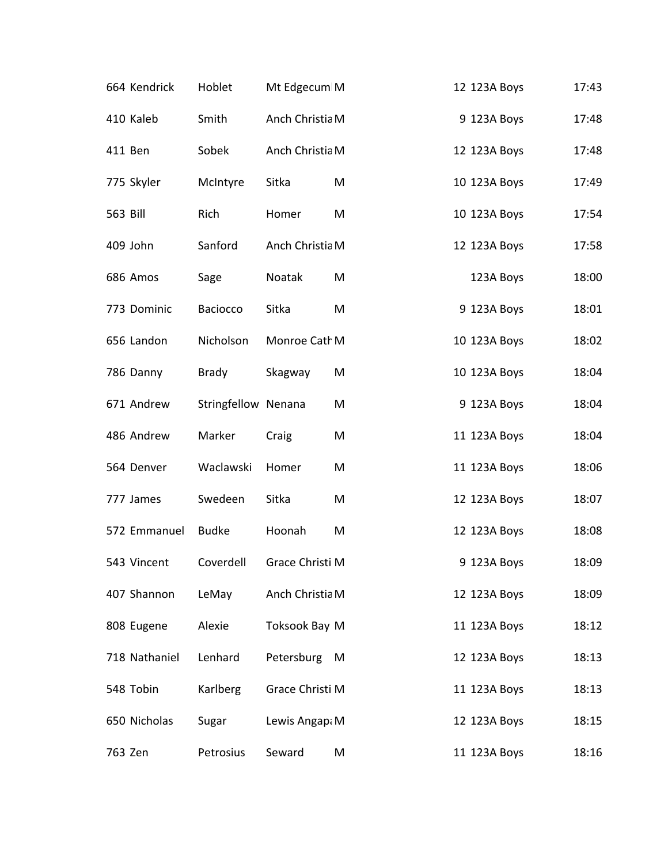| 664 Kendrick  | Hoblet              | Mt Edgecum M    |   | 12 123A Boys | 17:43 |
|---------------|---------------------|-----------------|---|--------------|-------|
| 410 Kaleb     | Smith               | Anch Christia M |   | 9 123A Boys  | 17:48 |
| 411 Ben       | Sobek               | Anch Christia M |   | 12 123A Boys | 17:48 |
| 775 Skyler    | McIntyre            | Sitka           | M | 10 123A Boys | 17:49 |
| 563 Bill      | Rich                | Homer           | M | 10 123A Boys | 17:54 |
| 409 John      | Sanford             | Anch Christia M |   | 12 123A Boys | 17:58 |
| 686 Amos      | Sage                | Noatak          | M | 123A Boys    | 18:00 |
| 773 Dominic   | Baciocco            | Sitka           | M | 9 123A Boys  | 18:01 |
| 656 Landon    | Nicholson           | Monroe Cath M   |   | 10 123A Boys | 18:02 |
| 786 Danny     | <b>Brady</b>        | Skagway         | M | 10 123A Boys | 18:04 |
| 671 Andrew    | Stringfellow Nenana |                 | M | 9 123A Boys  | 18:04 |
| 486 Andrew    | Marker              | Craig           | M | 11 123A Boys | 18:04 |
| 564 Denver    | Waclawski           | Homer           | M | 11 123A Boys | 18:06 |
| 777 James     | Swedeen             | Sitka           | M | 12 123A Boys | 18:07 |
| 572 Emmanuel  | <b>Budke</b>        | Hoonah          | M | 12 123A Boys | 18:08 |
| 543 Vincent   | Coverdell           | Grace Christi M |   | 9 123A Boys  | 18:09 |
| 407 Shannon   | LeMay               | Anch Christia M |   | 12 123A Boys | 18:09 |
| 808 Eugene    | Alexie              | Toksook Bay M   |   | 11 123A Boys | 18:12 |
| 718 Nathaniel | Lenhard             | Petersburg      | M | 12 123A Boys | 18:13 |
| 548 Tobin     | Karlberg            | Grace Christi M |   | 11 123A Boys | 18:13 |
| 650 Nicholas  | Sugar               | Lewis Angap: M  |   | 12 123A Boys | 18:15 |
| 763 Zen       | Petrosius           | Seward          | M | 11 123A Boys | 18:16 |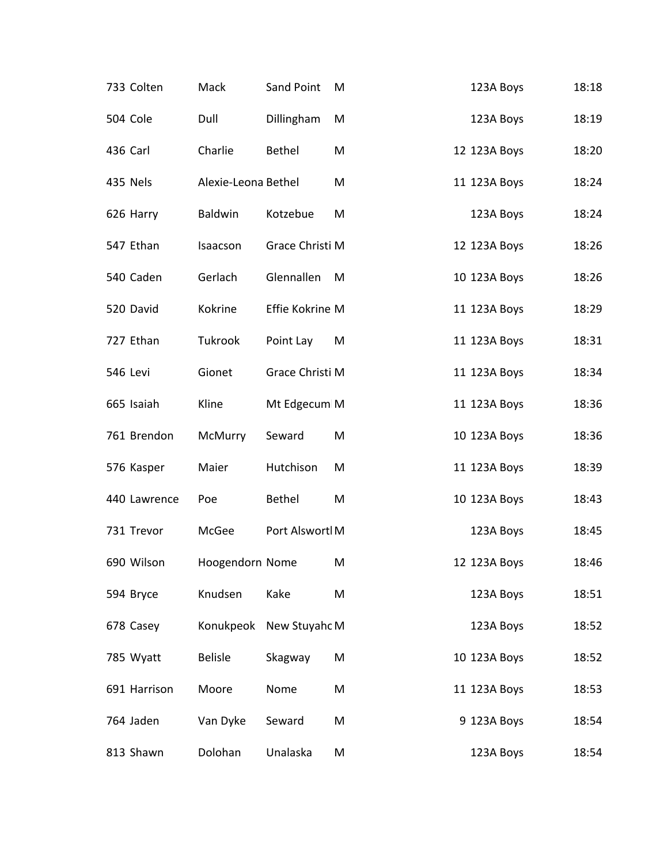| 733 Colten   | Mack                | Sand Point      | M | 123A Boys    | 18:18 |
|--------------|---------------------|-----------------|---|--------------|-------|
| 504 Cole     | Dull                | Dillingham      | M | 123A Boys    | 18:19 |
| 436 Carl     | Charlie             | <b>Bethel</b>   | M | 12 123A Boys | 18:20 |
| 435 Nels     | Alexie-Leona Bethel |                 | M | 11 123A Boys | 18:24 |
| 626 Harry    | Baldwin             | Kotzebue        | M | 123A Boys    | 18:24 |
| 547 Ethan    | Isaacson            | Grace Christi M |   | 12 123A Boys | 18:26 |
| 540 Caden    | Gerlach             | Glennallen      | M | 10 123A Boys | 18:26 |
| 520 David    | Kokrine             | Effie Kokrine M |   | 11 123A Boys | 18:29 |
| 727 Ethan    | Tukrook             | Point Lay       | M | 11 123A Boys | 18:31 |
| 546 Levi     | Gionet              | Grace Christi M |   | 11 123A Boys | 18:34 |
| 665 Isaiah   | Kline               | Mt Edgecum M    |   | 11 123A Boys | 18:36 |
| 761 Brendon  | McMurry             | Seward          | M | 10 123A Boys | 18:36 |
| 576 Kasper   | Maier               | Hutchison       | M | 11 123A Boys | 18:39 |
| 440 Lawrence | Poe                 | Bethel          | M | 10 123A Boys | 18:43 |
| 731 Trevor   | McGee               | Port Alswortl M |   | 123A Boys    | 18:45 |
| 690 Wilson   | Hoogendorn Nome     |                 | M | 12 123A Boys | 18:46 |
| 594 Bryce    | Knudsen             | Kake            | M | 123A Boys    | 18:51 |
| 678 Casey    | Konukpeok           | New Stuyahc M   |   | 123A Boys    | 18:52 |
| 785 Wyatt    | <b>Belisle</b>      | Skagway         | M | 10 123A Boys | 18:52 |
| 691 Harrison | Moore               | Nome            | M | 11 123A Boys | 18:53 |
| 764 Jaden    | Van Dyke            | Seward          | M | 9 123A Boys  | 18:54 |
| 813 Shawn    | Dolohan             | Unalaska        | M | 123A Boys    | 18:54 |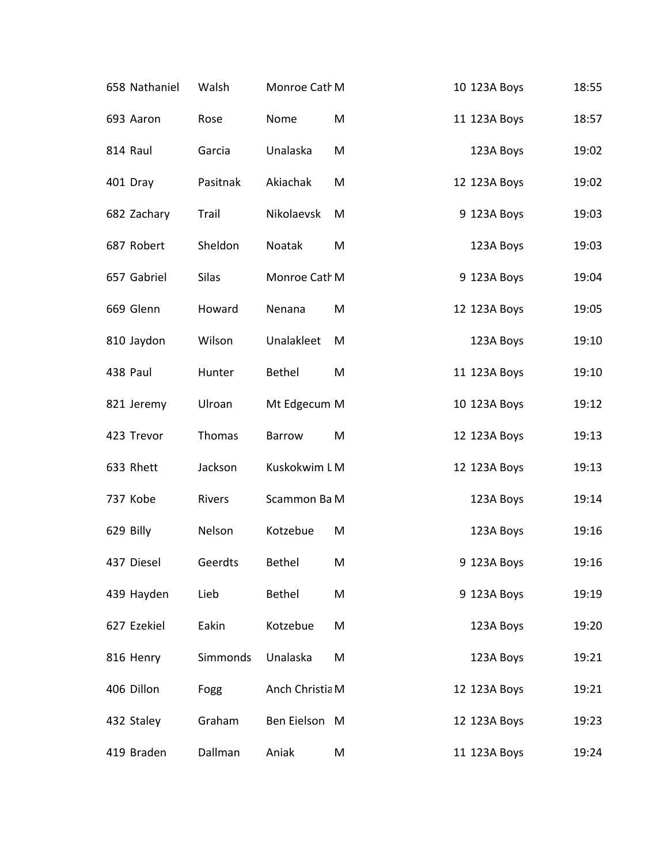| 658 Nathaniel | Walsh    | Monroe Cath M   |   | 10 123A Boys | 18:55 |
|---------------|----------|-----------------|---|--------------|-------|
| 693 Aaron     | Rose     | Nome            | M | 11 123A Boys | 18:57 |
| 814 Raul      | Garcia   | Unalaska        | M | 123A Boys    | 19:02 |
| 401 Dray      | Pasitnak | Akiachak        | M | 12 123A Boys | 19:02 |
| 682 Zachary   | Trail    | Nikolaevsk      | M | 9 123A Boys  | 19:03 |
| 687 Robert    | Sheldon  | Noatak          | M | 123A Boys    | 19:03 |
| 657 Gabriel   | Silas    | Monroe Cath M   |   | 9 123A Boys  | 19:04 |
| 669 Glenn     | Howard   | Nenana          | M | 12 123A Boys | 19:05 |
| 810 Jaydon    | Wilson   | Unalakleet      | M | 123A Boys    | 19:10 |
| 438 Paul      | Hunter   | <b>Bethel</b>   | M | 11 123A Boys | 19:10 |
| 821 Jeremy    | Ulroan   | Mt Edgecum M    |   | 10 123A Boys | 19:12 |
| 423 Trevor    | Thomas   | Barrow          | M | 12 123A Boys | 19:13 |
| 633 Rhett     | Jackson  | Kuskokwim LM    |   | 12 123A Boys | 19:13 |
| 737 Kobe      | Rivers   | Scammon Ba M    |   | 123A Boys    | 19:14 |
| 629 Billy     | Nelson   | Kotzebue        | M | 123A Boys    | 19:16 |
| 437 Diesel    | Geerdts  | <b>Bethel</b>   | M | 9 123A Boys  | 19:16 |
| 439 Hayden    | Lieb     | <b>Bethel</b>   | M | 9 123A Boys  | 19:19 |
| 627 Ezekiel   | Eakin    | Kotzebue        | M | 123A Boys    | 19:20 |
| 816 Henry     | Simmonds | Unalaska        | M | 123A Boys    | 19:21 |
| 406 Dillon    | Fogg     | Anch Christia M |   | 12 123A Boys | 19:21 |
| 432 Staley    | Graham   | Ben Eielson M   |   | 12 123A Boys | 19:23 |
| 419 Braden    | Dallman  | Aniak           | M | 11 123A Boys | 19:24 |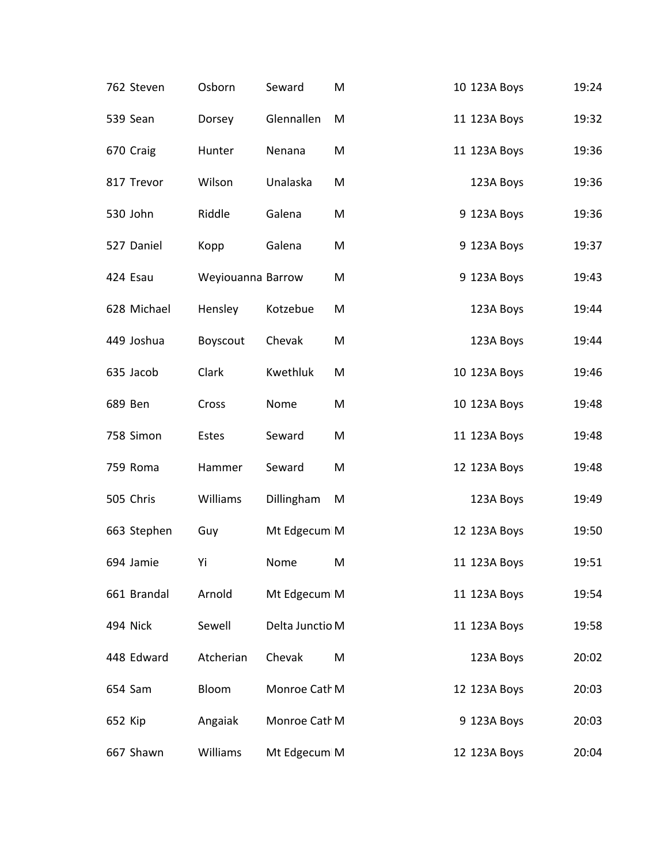|         | 762 Steven  | Osborn            | Seward          | M | 10 123A Boys | 19:24 |
|---------|-------------|-------------------|-----------------|---|--------------|-------|
|         | 539 Sean    | Dorsey            | Glennallen      | M | 11 123A Boys | 19:32 |
|         | 670 Craig   | Hunter            | Nenana          | M | 11 123A Boys | 19:36 |
|         | 817 Trevor  | Wilson            | Unalaska        | M | 123A Boys    | 19:36 |
|         | 530 John    | Riddle            | Galena          | M | 9 123A Boys  | 19:36 |
|         | 527 Daniel  | Kopp              | Galena          | M | 9 123A Boys  | 19:37 |
|         | 424 Esau    | Weyiouanna Barrow |                 | M | 9 123A Boys  | 19:43 |
|         | 628 Michael | Hensley           | Kotzebue        | M | 123A Boys    | 19:44 |
|         | 449 Joshua  | Boyscout          | Chevak          | M | 123A Boys    | 19:44 |
|         | 635 Jacob   | Clark             | Kwethluk        | M | 10 123A Boys | 19:46 |
|         | 689 Ben     | Cross             | Nome            | M | 10 123A Boys | 19:48 |
|         | 758 Simon   | Estes             | Seward          | M | 11 123A Boys | 19:48 |
|         | 759 Roma    | Hammer            | Seward          | M | 12 123A Boys | 19:48 |
|         | 505 Chris   | Williams          | Dillingham      | M | 123A Boys    | 19:49 |
|         | 663 Stephen | Guy               | Mt Edgecum M    |   | 12 123A Boys | 19:50 |
|         | 694 Jamie   | Yi                | Nome            | M | 11 123A Boys | 19:51 |
|         | 661 Brandal | Arnold            | Mt Edgecum M    |   | 11 123A Boys | 19:54 |
|         | 494 Nick    | Sewell            | Delta Junctio M |   | 11 123A Boys | 19:58 |
|         | 448 Edward  | Atcherian         | Chevak          | M | 123A Boys    | 20:02 |
|         | 654 Sam     | Bloom             | Monroe Cath M   |   | 12 123A Boys | 20:03 |
| 652 Kip |             | Angaiak           | Monroe Cath M   |   | 9 123A Boys  | 20:03 |
|         | 667 Shawn   | Williams          | Mt Edgecum M    |   | 12 123A Boys | 20:04 |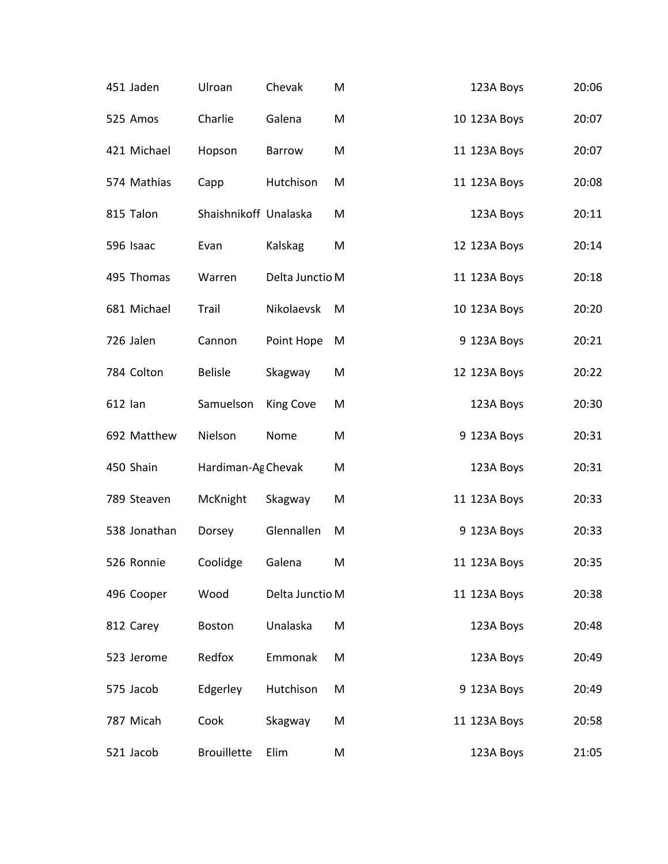| 451 Jaden    | Ulroan                | Chevak          | M | 123A Boys    | 20:06 |
|--------------|-----------------------|-----------------|---|--------------|-------|
| 525 Amos     | Charlie               | Galena          | M | 10 123A Boys | 20:07 |
| 421 Michael  | Hopson                | <b>Barrow</b>   | M | 11 123A Boys | 20:07 |
| 574 Mathias  | Capp                  | Hutchison       | M | 11 123A Boys | 20:08 |
| 815 Talon    | Shaishnikoff Unalaska |                 | M | 123A Boys    | 20:11 |
| 596 Isaac    | Evan                  | Kalskag         | M | 12 123A Boys | 20:14 |
| 495 Thomas   | Warren                | Delta Junctio M |   | 11 123A Boys | 20:18 |
| 681 Michael  | Trail                 | Nikolaevsk      | M | 10 123A Boys | 20:20 |
| 726 Jalen    | Cannon                | Point Hope      | M | 9 123A Boys  | 20:21 |
| 784 Colton   | <b>Belisle</b>        | Skagway         | M | 12 123A Boys | 20:22 |
| 612 lan      | Samuelson             | King Cove       | M | 123A Boys    | 20:30 |
| 692 Matthew  | Nielson               | Nome            | M | 9 123A Boys  | 20:31 |
| 450 Shain    | Hardiman-Ag Chevak    |                 | M | 123A Boys    | 20:31 |
| 789 Steaven  | McKnight              | Skagway         | M | 11 123A Boys | 20:33 |
| 538 Jonathan | Dorsey                | Glennallen      | M | 9 123A Boys  | 20:33 |
| 526 Ronnie   | Coolidge              | Galena          | M | 11 123A Boys | 20:35 |
| 496 Cooper   | Wood                  | Delta Junctio M |   | 11 123A Boys | 20:38 |
| 812 Carey    | <b>Boston</b>         | Unalaska        | M | 123A Boys    | 20:48 |
| 523 Jerome   | Redfox                | Emmonak         | M | 123A Boys    | 20:49 |
| 575 Jacob    | Edgerley              | Hutchison       | M | 9 123A Boys  | 20:49 |
| 787 Micah    | Cook                  | Skagway         | M | 11 123A Boys | 20:58 |
| 521 Jacob    | <b>Brouillette</b>    | Elim            | M | 123A Boys    | 21:05 |